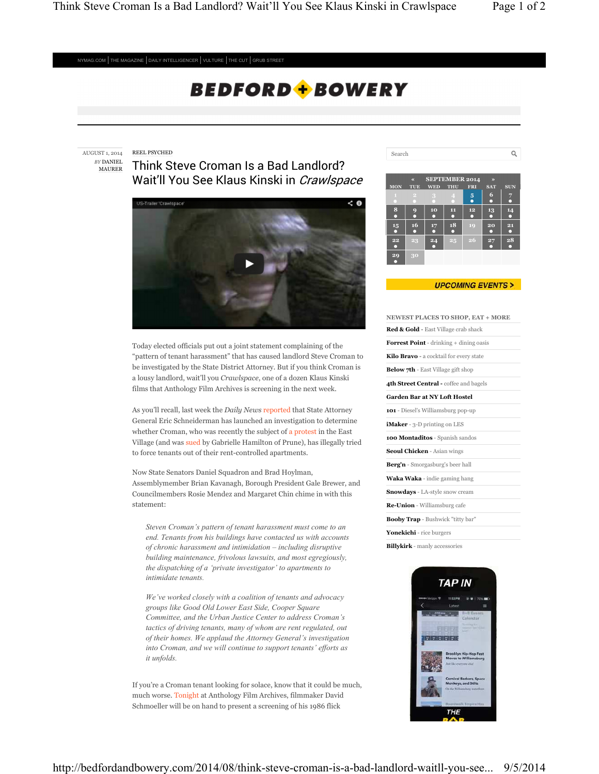$\hbox{\tt Q}$ 

 $NYMAG.COM$  THE MAGAZINE  $|$  DAILY INTELLIGENCER  $|$  VULTURE  $|$  THE CUT  $|$  GRUB STREET

# **BEDFORD + BOWERY**

REEL PSYCHED AUGUST 1, 2014

> *BY* DANIEL MAURER

Think Steve Croman Is a Bad Landlord? Wait'll You See Klaus Kinski in Crawlspace



Today elected officials put out a joint statement complaining of the "pattern of tenant harassment" that has caused landlord Steve Croman to be investigated by the State District Attorney. But if you think Croman is a lousy landlord, wait'll you *Crawlspace*, one of a dozen Klaus Kinski films that Anthology Film Archives is screening in the next week.

As you'll recall, last week the *Daily News* reported that State Attorney General Eric Schneiderman has launched an investigation to determine whether Croman, who was recently the subject of a protest in the East Village (and was sued by Gabrielle Hamilton of Prune), has illegally tried to force tenants out of their rent-controlled apartments.

Now State Senators Daniel Squadron and Brad Hoylman, Assemblymember Brian Kavanagh, Borough President Gale Brewer, and Councilmembers Rosie Mendez and Margaret Chin chime in with this statement:

*Steven Croman's pattern of tenant harassment must come to an end. Tenants from his buildings have contacted us with accounts of chronic harassment and intimidation – including disruptive building maintenance, frivolous lawsuits, and most egregiously, the dispatching of a 'private investigator' to apartments to intimidate tenants.*

*We've worked closely with a coalition of tenants and advocacy groups like Good Old Lower East Side, Cooper Square Committee, and the Urban Justice Center to address Croman's tactics of driving tenants, many of whom are rent regulated, out of their homes. We applaud the Attorney General's investigation into Croman, and we will continue to support tenants' efforts as it unfolds.*

If you're a Croman tenant looking for solace, know that it could be much, much worse. Tonight at Anthology Film Archives, filmmaker David Schmoeller will be on hand to present a screening of his 1986 flick

|            | $\overline{\mathbf{K}}$ |            | <b>SEPTEMBER 2014</b> | $\rightarrow$ |                 |            |
|------------|-------------------------|------------|-----------------------|---------------|-----------------|------------|
| <b>MON</b> | TUE                     | <b>WED</b> | THU                   | <b>FRI</b>    | <b>SAT</b>      | <b>SUN</b> |
|            | $\overline{a}$          | 3          | 4                     | $\frac{5}{9}$ | $6\phantom{1}6$ | 7          |
| $\bf{8}$   | 9                       | 10         | ш                     | 12<br>o       | 13<br>п         | 14         |
| 15<br>O    | 16<br>Ω                 | 17         | 18                    | 19            | 20<br>n         | 21<br>□    |
| $\bf{22}$  | 23                      | 24         | 25                    | 26            | 27<br>г         | 28         |
| 29         | 30                      |            |                       |               |                 |            |

Search

#### **UPCOMING EVENTS>**

| <b>NEWEST PLACES TO SHOP, EAT + MORE</b>       |
|------------------------------------------------|
| Red & Gold - East Village crab shack           |
| <b>Forrest Point</b> - drinking + dining oasis |
| Kilo Bravo - a cocktail for every state        |
| <b>Below 7th</b> - East Village gift shop      |
| 4th Street Central - coffee and bagels         |
| Garden Bar at NY Loft Hostel                   |
| 101 - Diesel's Williamsburg pop-up             |
| iMaker - 3-D printing on LES                   |
| 100 Montaditos - Spanish sandos                |
| <b>Seoul Chicken</b> - Asian wings             |
| Berg'n - Smorgasburg's beer hall               |
| Waka Waka - indie gaming hang                  |
| <b>Snowdays</b> - LA-style snow cream          |
| Re-Union - Williamsburg cafe                   |
| <b>Booby Trap</b> - Bushwick "titty bar"       |
| Yonekichi - rice burgers                       |
| <b>Billykirk</b> - manly accessories           |